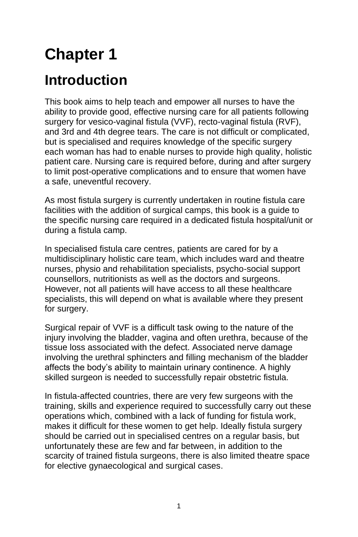# **Chapter 1**

# **Introduction**

This book aims to help teach and empower all nurses to have the ability to provide good, effective nursing care for all patients following surgery for vesico-vaginal fistula (VVF), recto-vaginal fistula (RVF), and 3rd and 4th degree tears. The care is not difficult or complicated, but is specialised and requires knowledge of the specific surgery each woman has had to enable nurses to provide high quality, holistic patient care. Nursing care is required before, during and after surgery to limit post-operative complications and to ensure that women have a safe, uneventful recovery.

As most fistula surgery is currently undertaken in routine fistula care facilities with the addition of surgical camps, this book is a guide to the specific nursing care required in a dedicated fistula hospital/unit or during a fistula camp.

In specialised fistula care centres, patients are cared for by a multidisciplinary holistic care team, which includes ward and theatre nurses, physio and rehabilitation specialists, psycho-social support counsellors, nutritionists as well as the doctors and surgeons. However, not all patients will have access to all these healthcare specialists, this will depend on what is available where they present for surgery.

Surgical repair of VVF is a difficult task owing to the nature of the injury involving the bladder, vagina and often urethra, because of the tissue loss associated with the defect. Associated nerve damage involving the urethral sphincters and filling mechanism of the bladder affects the body's ability to maintain urinary continence. A highly skilled surgeon is needed to successfully repair obstetric fistula.

In fistula-affected countries, there are very few surgeons with the training, skills and experience required to successfully carry out these operations which, combined with a lack of funding for fistula work, makes it difficult for these women to get help. Ideally fistula surgery should be carried out in specialised centres on a regular basis, but unfortunately these are few and far between, in addition to the scarcity of trained fistula surgeons, there is also limited theatre space for elective gynaecological and surgical cases.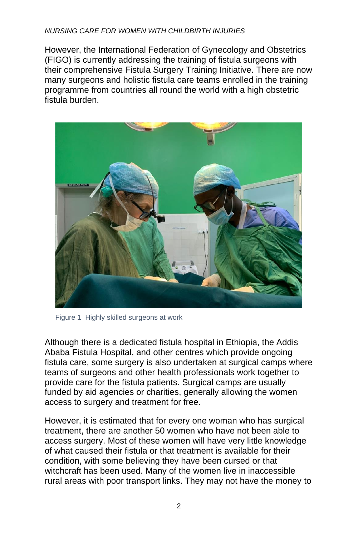However, the International Federation of Gynecology and Obstetrics (FIGO) is currently addressing the training of fistula surgeons with their comprehensive Fistula Surgery Training Initiative. There are now many surgeons and holistic fistula care teams enrolled in the training programme from countries all round the world with a high obstetric fistula burden.



Figure 1 Highly skilled surgeons at work

Although there is a dedicated fistula hospital in Ethiopia, the Addis Ababa Fistula Hospital, and other centres which provide ongoing fistula care, some surgery is also undertaken at surgical camps where teams of surgeons and other health professionals work together to provide care for the fistula patients. Surgical camps are usually funded by aid agencies or charities, generally allowing the women access to surgery and treatment for free.

However, it is estimated that for every one woman who has surgical treatment, there are another 50 women who have not been able to access surgery. Most of these women will have very little knowledge of what caused their fistula or that treatment is available for their condition, with some believing they have been cursed or that witchcraft has been used. Many of the women live in inaccessible rural areas with poor transport links. They may not have the money to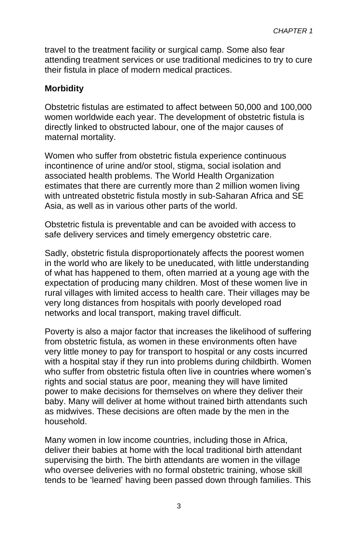travel to the treatment facility or surgical camp. Some also fear attending treatment services or use traditional medicines to try to cure their fistula in place of modern medical practices.

#### **Morbidity**

Obstetric fistulas are estimated to affect between 50,000 and 100,000 women worldwide each year. The development of obstetric fistula is directly linked to obstructed labour, one of the major causes of maternal mortality.

Women who suffer from obstetric fistula experience continuous incontinence of urine and/or stool, stigma, social isolation and associated health problems. The World Health Organization estimates that there are currently more than 2 million women living with untreated obstetric fistula mostly in sub-Saharan Africa and SE Asia, as well as in various other parts of the world.

Obstetric fistula is preventable and can be avoided with access to safe delivery services and timely emergency obstetric care.

Sadly, obstetric fistula disproportionately affects the poorest women in the world who are likely to be uneducated, with little understanding of what has happened to them, often married at a young age with the expectation of producing many children. Most of these women live in rural villages with limited access to health care. Their villages may be very long distances from hospitals with poorly developed road networks and local transport, making travel difficult.

Poverty is also a major factor that increases the likelihood of suffering from obstetric fistula, as women in these environments often have very little money to pay for transport to hospital or any costs incurred with a hospital stay if they run into problems during childbirth. Women who suffer from obstetric fistula often live in countries where women's rights and social status are poor, meaning they will have limited power to make decisions for themselves on where they deliver their baby. Many will deliver at home without trained birth attendants such as midwives. These decisions are often made by the men in the household.

Many women in low income countries, including those in Africa, deliver their babies at home with the local traditional birth attendant supervising the birth. The birth attendants are women in the village who oversee deliveries with no formal obstetric training, whose skill tends to be 'learned' having been passed down through families. This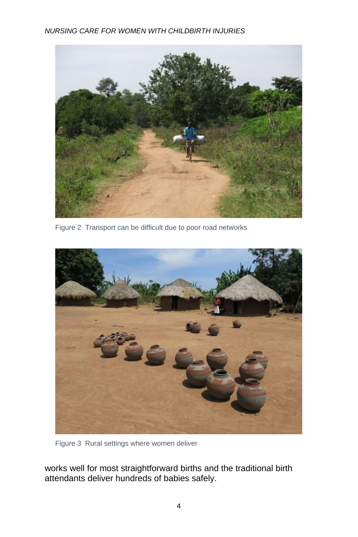

Figure 2 Transport can be difficult due to poor road networks



Figure 3 Rural settings where women deliver

works well for most straightforward births and the traditional birth attendants deliver hundreds of babies safely.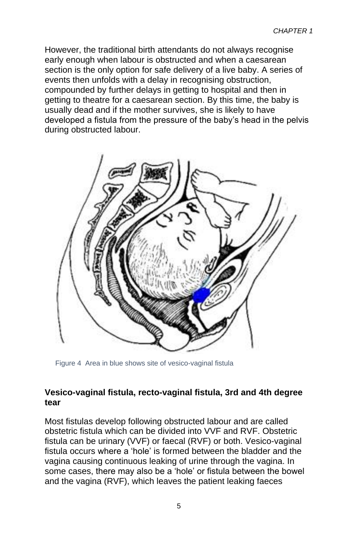However, the traditional birth attendants do not always recognise early enough when labour is obstructed and when a caesarean section is the only option for safe delivery of a live baby. A series of events then unfolds with a delay in recognising obstruction, compounded by further delays in getting to hospital and then in getting to theatre for a caesarean section. By this time, the baby is usually dead and if the mother survives, she is likely to have developed a fistula from the pressure of the baby's head in the pelvis during obstructed labour.



Figure 4 Area in blue shows site of vesico-vaginal fistula

# **Vesico-vaginal fistula, recto-vaginal fistula, 3rd and 4th degree tear**

Most fistulas develop following obstructed labour and are called obstetric fistula which can be divided into VVF and RVF. Obstetric fistula can be urinary (VVF) or faecal (RVF) or both. Vesico-vaginal fistula occurs where a 'hole' is formed between the bladder and the vagina causing continuous leaking of urine through the vagina. In some cases, there may also be a 'hole' or fistula between the bowel and the vagina (RVF), which leaves the patient leaking faeces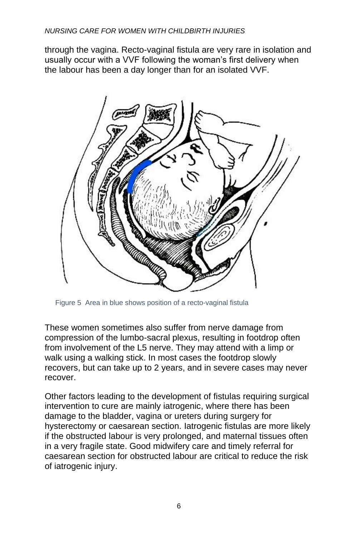through the vagina. Recto-vaginal fistula are very rare in isolation and usually occur with a VVF following the woman's first delivery when the labour has been a day longer than for an isolated VVF.



Figure 5 Area in blue shows position of a recto-vaginal fistula

These women sometimes also suffer from nerve damage from compression of the lumbo-sacral plexus, resulting in footdrop often from involvement of the L5 nerve. They may attend with a limp or walk using a walking stick. In most cases the footdrop slowly recovers, but can take up to 2 years, and in severe cases may never recover.

Other factors leading to the development of fistulas requiring surgical intervention to cure are mainly iatrogenic, where there has been damage to the bladder, vagina or ureters during surgery for hysterectomy or caesarean section. Iatrogenic fistulas are more likely if the obstructed labour is very prolonged, and maternal tissues often in a very fragile state. Good midwifery care and timely referral for caesarean section for obstructed labour are critical to reduce the risk of iatrogenic injury.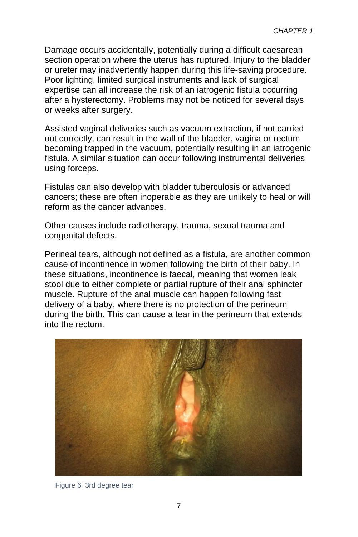Damage occurs accidentally, potentially during a difficult caesarean section operation where the uterus has ruptured. Injury to the bladder or ureter may inadvertently happen during this life-saving procedure. Poor lighting, limited surgical instruments and lack of surgical expertise can all increase the risk of an iatrogenic fistula occurring after a hysterectomy. Problems may not be noticed for several days or weeks after surgery.

Assisted vaginal deliveries such as vacuum extraction, if not carried out correctly, can result in the wall of the bladder, vagina or rectum becoming trapped in the vacuum, potentially resulting in an iatrogenic fistula. A similar situation can occur following instrumental deliveries using forceps.

Fistulas can also develop with bladder tuberculosis or advanced cancers; these are often inoperable as they are unlikely to heal or will reform as the cancer advances.

Other causes include radiotherapy, trauma, sexual trauma and congenital defects.

Perineal tears, although not defined as a fistula, are another common cause of incontinence in women following the birth of their baby. In these situations, incontinence is faecal, meaning that women leak stool due to either complete or partial rupture of their anal sphincter muscle. Rupture of the anal muscle can happen following fast delivery of a baby, where there is no protection of the perineum during the birth. This can cause a tear in the perineum that extends into the rectum.



Figure 6 3rd degree tear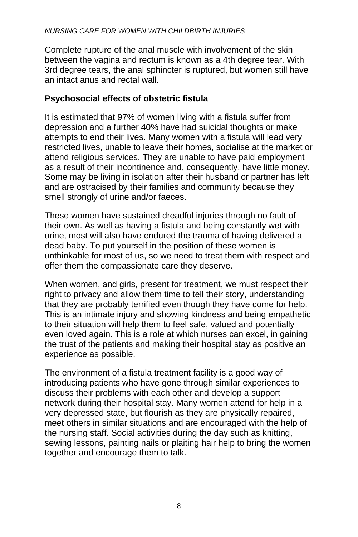Complete rupture of the anal muscle with involvement of the skin between the vagina and rectum is known as a 4th degree tear. With 3rd degree tears, the anal sphincter is ruptured, but women still have an intact anus and rectal wall.

### **Psychosocial effects of obstetric fistula**

It is estimated that 97% of women living with a fistula suffer from depression and a further 40% have had suicidal thoughts or make attempts to end their lives. Many women with a fistula will lead very restricted lives, unable to leave their homes, socialise at the market or attend religious services. They are unable to have paid employment as a result of their incontinence and, consequently, have little money. Some may be living in isolation after their husband or partner has left and are ostracised by their families and community because they smell strongly of urine and/or faeces.

These women have sustained dreadful injuries through no fault of their own. As well as having a fistula and being constantly wet with urine, most will also have endured the trauma of having delivered a dead baby. To put yourself in the position of these women is unthinkable for most of us, so we need to treat them with respect and offer them the compassionate care they deserve.

When women, and girls, present for treatment, we must respect their right to privacy and allow them time to tell their story, understanding that they are probably terrified even though they have come for help. This is an intimate injury and showing kindness and being empathetic to their situation will help them to feel safe, valued and potentially even loved again. This is a role at which nurses can excel, in gaining the trust of the patients and making their hospital stay as positive an experience as possible.

The environment of a fistula treatment facility is a good way of introducing patients who have gone through similar experiences to discuss their problems with each other and develop a support network during their hospital stay. Many women attend for help in a very depressed state, but flourish as they are physically repaired, meet others in similar situations and are encouraged with the help of the nursing staff. Social activities during the day such as knitting, sewing lessons, painting nails or plaiting hair help to bring the women together and encourage them to talk.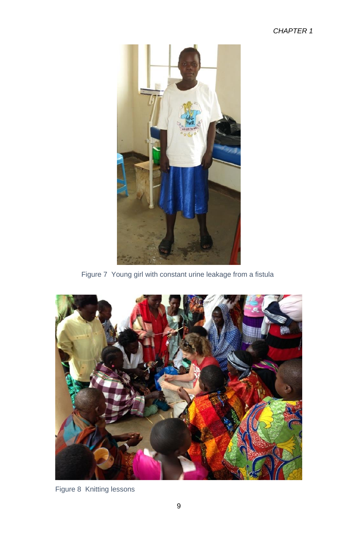#### *CHAPTER 1*



Figure 7 Young girl with constant urine leakage from a fistula



Figure 8 Knitting lessons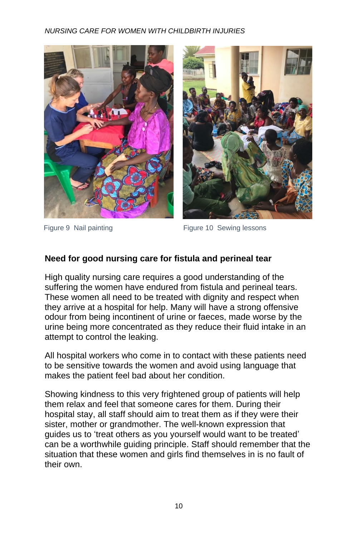



Figure 9 Nail painting Figure 10 Sewing lessons

# **Need for good nursing care for fistula and perineal tear**

High quality nursing care requires a good understanding of the suffering the women have endured from fistula and perineal tears. These women all need to be treated with dignity and respect when they arrive at a hospital for help. Many will have a strong offensive odour from being incontinent of urine or faeces, made worse by the urine being more concentrated as they reduce their fluid intake in an attempt to control the leaking.

All hospital workers who come in to contact with these patients need to be sensitive towards the women and avoid using language that makes the patient feel bad about her condition.

Showing kindness to this very frightened group of patients will help them relax and feel that someone cares for them. During their hospital stay, all staff should aim to treat them as if they were their sister, mother or grandmother. The well-known expression that guides us to 'treat others as you yourself would want to be treated' can be a worthwhile guiding principle. Staff should remember that the situation that these women and girls find themselves in is no fault of their own.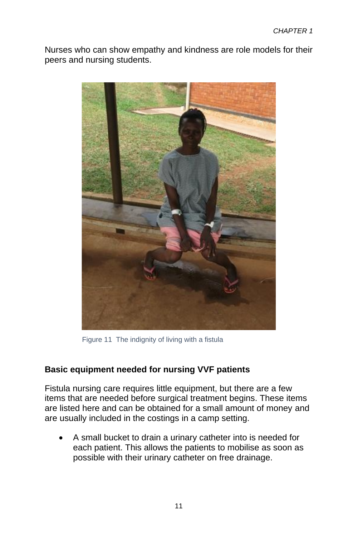Nurses who can show empathy and kindness are role models for their peers and nursing students.



Figure 11 The indignity of living with a fistula

# **Basic equipment needed for nursing VVF patients**

Fistula nursing care requires little equipment, but there are a few items that are needed before surgical treatment begins. These items are listed here and can be obtained for a small amount of money and are usually included in the costings in a camp setting.

• A small bucket to drain a urinary catheter into is needed for each patient. This allows the patients to mobilise as soon as possible with their urinary catheter on free drainage.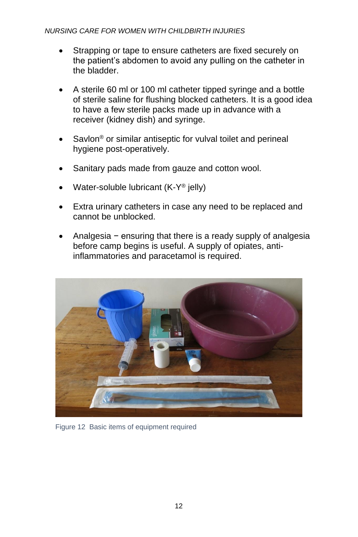- Strapping or tape to ensure catheters are fixed securely on the patient's abdomen to avoid any pulling on the catheter in the bladder.
- A sterile 60 ml or 100 ml catheter tipped syringe and a bottle of sterile saline for flushing blocked catheters. It is a good idea to have a few sterile packs made up in advance with a receiver (kidney dish) and syringe.
- Savlon<sup>®</sup> or similar antiseptic for vulval toilet and perineal hygiene post-operatively.
- Sanitary pads made from gauze and cotton wool.
- Water-soluble lubricant (K-Y® jelly)
- Extra urinary catheters in case any need to be replaced and cannot be unblocked.
- Analgesia − ensuring that there is a ready supply of analgesia before camp begins is useful. A supply of opiates, antiinflammatories and paracetamol is required.



Figure 12 Basic items of equipment required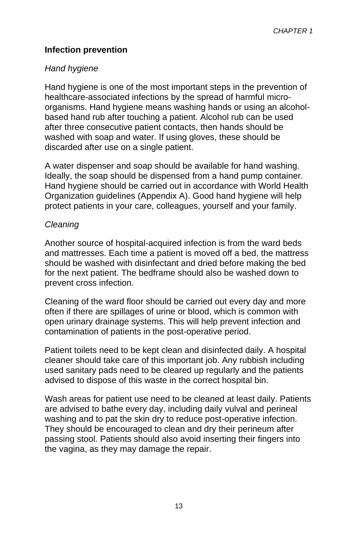## **Infection prevention**

#### *Hand hygiene*

Hand hygiene is one of the most important steps in the prevention of healthcare-associated infections by the spread of harmful microorganisms. Hand hygiene means washing hands or using an alcoholbased hand rub after touching a patient. Alcohol rub can be used after three consecutive patient contacts, then hands should be washed with soap and water. If using gloves, these should be discarded after use on a single patient.

A water dispenser and soap should be available for hand washing. Ideally, the soap should be dispensed from a hand pump container. Hand hygiene should be carried out in accordance with World Health Organization guidelines (Appendix A). Good hand hygiene will help protect patients in your care, colleagues, yourself and your family.

#### *Cleaning*

Another source of hospital-acquired infection is from the ward beds and mattresses. Each time a patient is moved off a bed, the mattress should be washed with disinfectant and dried before making the bed for the next patient. The bedframe should also be washed down to prevent cross infection.

Cleaning of the ward floor should be carried out every day and more often if there are spillages of urine or blood, which is common with open urinary drainage systems. This will help prevent infection and contamination of patients in the post-operative period.

Patient toilets need to be kept clean and disinfected daily. A hospital cleaner should take care of this important job. Any rubbish including used sanitary pads need to be cleared up regularly and the patients advised to dispose of this waste in the correct hospital bin.

Wash areas for patient use need to be cleaned at least daily. Patients are advised to bathe every day, including daily vulval and perineal washing and to pat the skin dry to reduce post-operative infection. They should be encouraged to clean and dry their perineum after passing stool. Patients should also avoid inserting their fingers into the vagina, as they may damage the repair.